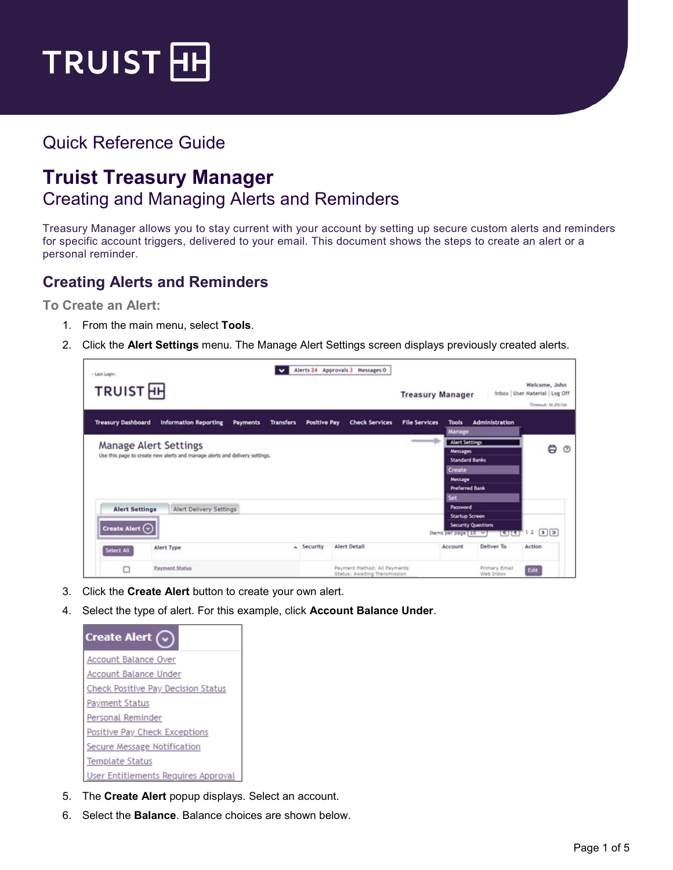

# Quick Reference Guide

# **Truist Treasury Manager** Creating and Managing Alerts and Reminders

Treasury Manager allows you to stay current with your account by setting up secure custom alerts and reminders for specific account triggers, delivered to your email. This document shows the steps to create an alert or a personal reminder.

#### **Creating Alerts and Reminders**

**To Create an Alert:**

- 1. From the main menu, select **Tools**.
- 2. Click the **Alert Settings** menu. The Manage Alert Settings screen displays previously created alerts.

| - Last Login:             |                                                                                                             | $\checkmark$     |                     | Alerts 24 Approvals 3 Messages 0                                  |                         |                                          |                                  |                                                                      |            |
|---------------------------|-------------------------------------------------------------------------------------------------------------|------------------|---------------------|-------------------------------------------------------------------|-------------------------|------------------------------------------|----------------------------------|----------------------------------------------------------------------|------------|
| TRUIST <sub>H</sub>       |                                                                                                             |                  |                     |                                                                   | <b>Treasury Manager</b> |                                          |                                  | Welcome, John<br>Inbox   User Material   Log Off<br>Timeout: 0:29:56 |            |
| <b>Treasury Dashboard</b> | <b>Information Reporting</b><br><b>Payments</b>                                                             | <b>Transfers</b> | <b>Positive Pay</b> | <b>Check Services</b>                                             | <b>File Services</b>    | <b>Tools</b><br>Manage                   | Administration                   |                                                                      |            |
|                           | <b>Manage Alert Settings</b><br>Use this page to create new alerts and manage alerts and delivery settings. |                  |                     |                                                                   |                         | <b>Alert Settings</b><br><b>Messages</b> |                                  | ⊜                                                                    | $^{\circ}$ |
|                           |                                                                                                             |                  |                     |                                                                   |                         | <b>Standard Banks</b><br>Create          |                                  |                                                                      |            |
|                           |                                                                                                             |                  |                     |                                                                   |                         | Message<br><b>Preferred Bank</b><br>Set  |                                  |                                                                      |            |
| <b>Alert Settings</b>     | Alert Delivery Settings                                                                                     |                  |                     |                                                                   |                         | Password<br><b>Startup Screen</b>        |                                  |                                                                      |            |
| Create Alert $\odot$      |                                                                                                             |                  |                     |                                                                   |                         | Items per page 10 v                      | <b>Security Questions</b><br>बार | D2<br>12                                                             |            |
| Select All                | Alert Type                                                                                                  |                  | A Security          | Alert Detail                                                      |                         | Account                                  | Deliver To                       | Action                                                               |            |
| o                         | <b>Payment Status</b>                                                                                       |                  |                     | Payment Method: All Payments<br>Grance: Auckillon Transportation. |                         |                                          | Primary Email<br>Mish fisher     | Edit                                                                 |            |

- 3. Click the **Create Alert** button to create your own alert.
- 4. Select the type of alert. For this example, click **Account Balance Under**.

| <b>Create Alert</b>                       |
|-------------------------------------------|
| Account Balance Over                      |
| Account Balance Under                     |
| <b>Check Positive Pay Decision Status</b> |
| <b>Payment Status</b>                     |
| Personal Reminder                         |
| Positive Pay Check Exceptions             |
| Secure Message Notification               |
| Template Status                           |
| User Entitlements Requires Approval       |

- 5. The **Create Alert** popup displays. Select an account.
- 6. Select the **Balance**. Balance choices are shown below.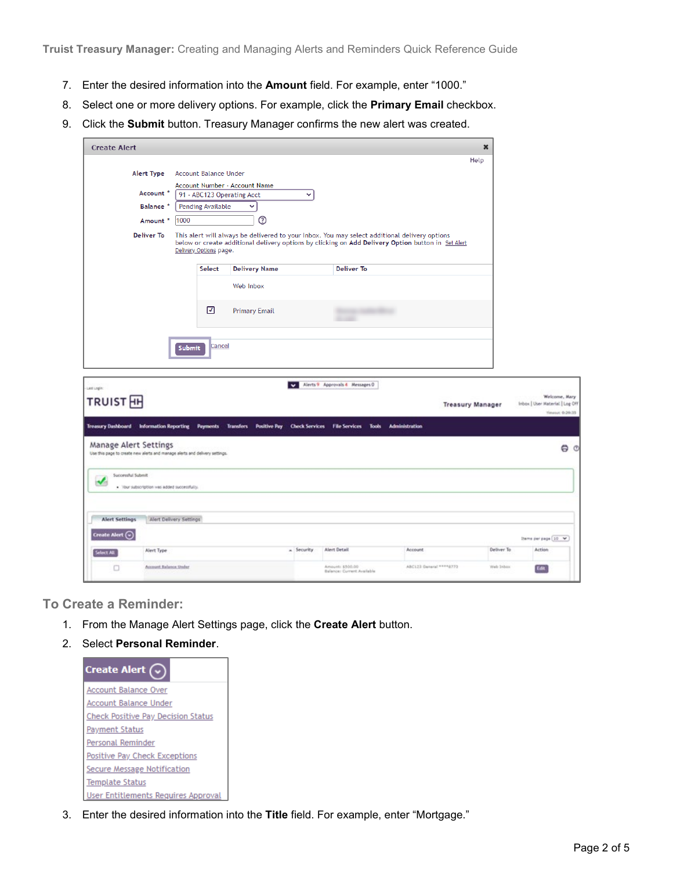**Truist Treasury Manager:** Creating and Managing Alerts and Reminders Quick Reference Guide

- 7. Enter the desired information into the **Amount** field. For example, enter "1000."
- 8. Select one or more delivery options. For example, click the **Primary Email** checkbox.
- 9. Click the **Submit** button. Treasury Manager confirms the new alert was created.

| <b>Create Alert</b>                                                                  |                                                                             |                              |                                                              |              |                                                                                                                                                                                                     |                | $\pmb{\times}$          |                                                  |
|--------------------------------------------------------------------------------------|-----------------------------------------------------------------------------|------------------------------|--------------------------------------------------------------|--------------|-----------------------------------------------------------------------------------------------------------------------------------------------------------------------------------------------------|----------------|-------------------------|--------------------------------------------------|
|                                                                                      |                                                                             |                              |                                                              |              |                                                                                                                                                                                                     |                | Help                    |                                                  |
|                                                                                      | Alert Type                                                                  | <b>Account Balance Under</b> |                                                              |              |                                                                                                                                                                                                     |                |                         |                                                  |
|                                                                                      |                                                                             |                              | Account Number - Account Name                                |              |                                                                                                                                                                                                     |                |                         |                                                  |
|                                                                                      | Account *                                                                   | 91 - ABC123 Operating Acct   |                                                              | v            |                                                                                                                                                                                                     |                |                         |                                                  |
| Balance <sup>*</sup><br><b>Pending Available</b><br>v                                |                                                                             |                              |                                                              |              |                                                                                                                                                                                                     |                |                         |                                                  |
|                                                                                      | 1000<br>Amount *                                                            |                              | ℗                                                            |              |                                                                                                                                                                                                     |                |                         |                                                  |
|                                                                                      | <b>Deliver To</b>                                                           | Delivery Options page.       |                                                              |              | This alert will always be delivered to your Inbox. You may select additional delivery options<br>below or create additional delivery options by clicking on Add Delivery Option button in Set Alert |                |                         |                                                  |
|                                                                                      |                                                                             | <b>Select</b>                | <b>Delivery Name</b>                                         |              | <b>Deliver To</b>                                                                                                                                                                                   |                |                         |                                                  |
|                                                                                      |                                                                             |                              | Web Inbox                                                    |              |                                                                                                                                                                                                     |                |                         |                                                  |
|                                                                                      |                                                                             | ☑                            | <b>Primary Email</b>                                         |              | <b>START</b>                                                                                                                                                                                        |                |                         |                                                  |
|                                                                                      |                                                                             |                              |                                                              |              |                                                                                                                                                                                                     |                |                         |                                                  |
|                                                                                      |                                                                             |                              |                                                              |              |                                                                                                                                                                                                     |                |                         |                                                  |
|                                                                                      |                                                                             | Cancel<br><b>Submit</b>      |                                                              |              |                                                                                                                                                                                                     |                |                         |                                                  |
|                                                                                      |                                                                             |                              |                                                              |              |                                                                                                                                                                                                     |                |                         |                                                  |
|                                                                                      |                                                                             |                              |                                                              | $\mathbf{v}$ | Alerts 9 Approvals 4 Messages 0                                                                                                                                                                     |                |                         |                                                  |
|                                                                                      |                                                                             |                              |                                                              |              |                                                                                                                                                                                                     |                | <b>Treasury Manager</b> | Welcome, Mary<br>Inbox   User Material   Log Off |
|                                                                                      |                                                                             |                              |                                                              |              |                                                                                                                                                                                                     |                |                         | Yimeout: 0:29:35                                 |
|                                                                                      | <b>Treasury Dashboard Information Reporting</b>                             |                              | Payments Transfers Positive Pay Check Services File Services |              | <b>Tools</b>                                                                                                                                                                                        | Administration |                         |                                                  |
|                                                                                      |                                                                             |                              |                                                              |              |                                                                                                                                                                                                     |                |                         |                                                  |
|                                                                                      | Use this page to create new alerts and manage alerts and delivery settings. |                              |                                                              |              |                                                                                                                                                                                                     |                |                         |                                                  |
|                                                                                      |                                                                             |                              |                                                              |              |                                                                                                                                                                                                     |                |                         |                                                  |
| <b>Successful Submit</b>                                                             | . Your subscription was added successfully.                                 |                              |                                                              |              |                                                                                                                                                                                                     |                |                         |                                                  |
|                                                                                      |                                                                             |                              |                                                              |              |                                                                                                                                                                                                     |                |                         |                                                  |
| <b>Alert Settings</b>                                                                | Alert Delivery Settings                                                     |                              |                                                              |              |                                                                                                                                                                                                     |                |                         |                                                  |
| Lett Legin:<br><b>TRUIST</b> <sub>H</sub><br>Manage Alert Settings<br>Create Alert ( |                                                                             |                              |                                                              |              |                                                                                                                                                                                                     |                |                         | Dema per page [ 10 W]                            |
| Select All                                                                           | Alert Type                                                                  |                              |                                                              | » Security   | Alert Detail                                                                                                                                                                                        | Account        | Deliver To              | Action                                           |

**To Create a Reminder:**

- 1. From the Manage Alert Settings page, click the **Create Alert** button.
- 2. Select **Personal Reminder**.



3. Enter the desired information into the **Title** field. For example, enter "Mortgage."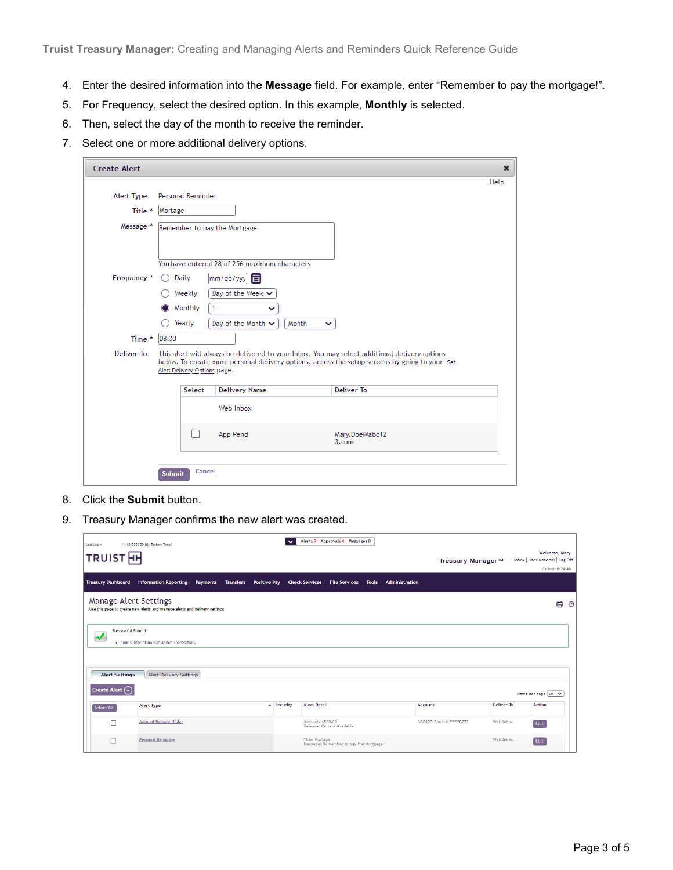- 4. Enter the desired information into the **Message** field. For example, enter "Remember to pay the mortgage!".
- 5. For Frequency, select the desired option. In this example, **Monthly** is selected.
- 6. Then, select the day of the month to receive the reminder.
- 7. Select one or more additional delivery options.

| <b>Create Alert</b>    |                                                                                                                                                                                                                                 | $\pmb{\times}$ |
|------------------------|---------------------------------------------------------------------------------------------------------------------------------------------------------------------------------------------------------------------------------|----------------|
|                        |                                                                                                                                                                                                                                 | Help           |
| <b>Alert Type</b>      | Personal Reminder                                                                                                                                                                                                               |                |
| Title *                | Mortage                                                                                                                                                                                                                         |                |
| Message *              | Remember to pay the Mortgage                                                                                                                                                                                                    |                |
|                        | You have entered 28 of 256 maximum characters                                                                                                                                                                                   |                |
| Frequency <sup>*</sup> | Daily<br>mm/dd/yyy<br>亘                                                                                                                                                                                                         |                |
|                        | Day of the Week $\vee$<br>Weekly                                                                                                                                                                                                |                |
|                        | Monthly<br>$\overline{1}$<br>$\check{ }$                                                                                                                                                                                        |                |
|                        | Yearly<br>Day of the Month $\vee$<br>Month<br>◡                                                                                                                                                                                 |                |
| Time *                 | 08:30                                                                                                                                                                                                                           |                |
| Deliver To             | This alert will always be delivered to your Inbox. You may select additional delivery options<br>below. To create more personal delivery options, access the setup screens by going to your Set<br>Alert Delivery Options page. |                |
|                        | Deliver To<br>Select<br><b>Delivery Name</b>                                                                                                                                                                                    |                |
|                        | Web Inbox                                                                                                                                                                                                                       |                |
|                        | App Pend<br>Mary.Doe@abc12<br>3.com                                                                                                                                                                                             |                |
|                        | Cancel<br><b>Submit</b>                                                                                                                                                                                                         |                |

- 8. Click the **Submit** button.
- 9. Treasury Manager confirms the new alert was created.

| <b>Last Login:</b>                                     | 11/10/2021 20:06 (Eastern Time)                                                  | $\bullet$         | Alerts 9 Approvals 4 Messages 0                         |                       |                         |                   |                                                  |
|--------------------------------------------------------|----------------------------------------------------------------------------------|-------------------|---------------------------------------------------------|-----------------------|-------------------------|-------------------|--------------------------------------------------|
| <b>TRUIST</b> <sub>H</sub>                             |                                                                                  |                   |                                                         |                       | Treasury Manager™       |                   | Welcome, Mary<br>Inbox   User Material   Log Off |
|                                                        |                                                                                  |                   |                                                         |                       |                         |                   | Timeout: 0:29:48                                 |
| <b>Treasury Dashboard</b>                              | <b>Information Reporting</b><br><b>Positive Pay</b><br><b>Payments Transfers</b> |                   | <b>Check Services File Services Tools</b>               | <b>Administration</b> |                         |                   |                                                  |
| <b>Manage Alert Settings</b>                           | Use this page to create new alerts and manage alerts and delivery settings.      |                   |                                                         |                       |                         |                   | 8<br>$^{\circ}$                                  |
| <b>Successful Submit</b><br>$\boldsymbol{\mathcal{N}}$ | . Your subscription was added successfully.                                      |                   |                                                         |                       |                         |                   |                                                  |
| <b>Alert Settings</b>                                  | <b>Alert Delivery Settings</b>                                                   |                   |                                                         |                       |                         |                   |                                                  |
| <b>Create Alert</b> $(\cdot)$                          |                                                                                  |                   |                                                         |                       |                         |                   | Items per page 10 V                              |
| Select All                                             | <b>Alert Type</b>                                                                | <b>A</b> Security | <b>Alert Detail</b>                                     |                       | Account                 | <b>Deliver To</b> | <b>Action</b>                                    |
| г                                                      | <b>Account Balance Under</b>                                                     |                   | Amount: \$500.00<br>Balance: Current Available          |                       | ABC123 General ****8773 | Web Inbox         | Edit                                             |
| г                                                      | <b>Personal Reminder</b>                                                         |                   | Title: Mortage<br>Message: Remember to pay the Mortgage |                       |                         | Web Inbox         | Edit                                             |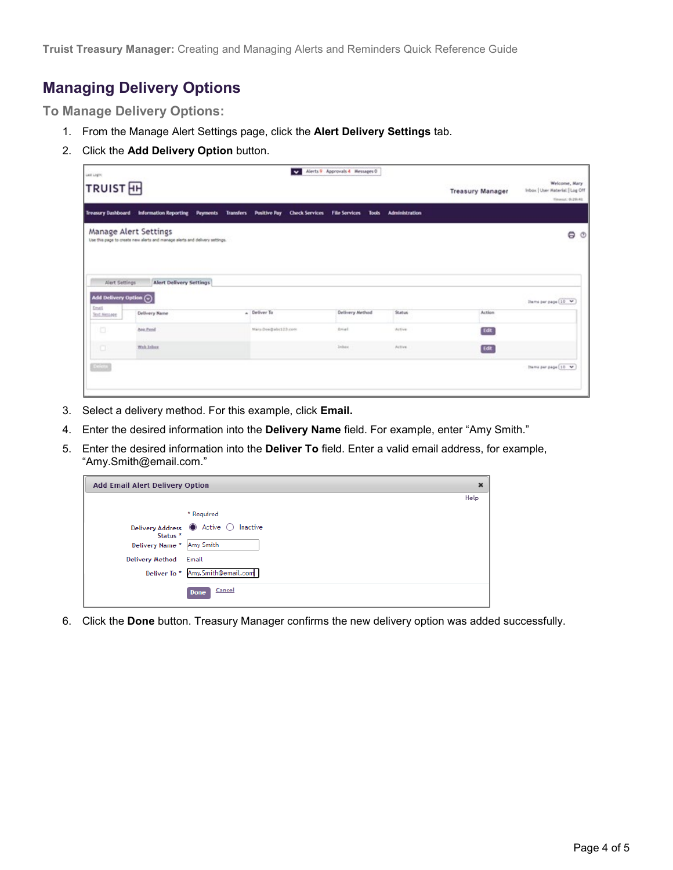### **Managing Delivery Options**

**To Manage Delivery Options:**

- 1. From the Manage Alert Settings page, click the **Alert Delivery Settings** tab.
- 2. Click the **Add Delivery Option** button.

| LAR LIGHT<br>TRUIST <sub>H</sub>                 |                                                                                                      | $\ddot{\phantom{0}}$                                                                        | Alerts 9 Approvals 4 Messages 0 |        | <b>Treasury Manager</b> | Welcome, Mary<br>Inbox   User Material   Log Off<br>Timenet: 0-29y41 |
|--------------------------------------------------|------------------------------------------------------------------------------------------------------|---------------------------------------------------------------------------------------------|---------------------------------|--------|-------------------------|----------------------------------------------------------------------|
| Treasury Dashboard                               | <b>Information Reporting</b>                                                                         | Transfers Positive Pay Check Services File Services Tools Administration<br><b>Payments</b> |                                 |        |                         |                                                                      |
|                                                  | Manage Alert Settings<br>Use this page to create new alerts and manage alerts and delivery settings. |                                                                                             |                                 |        |                         | Θ<br>$\circ$                                                         |
| Alert Settings<br>Add Delivery Option $\bigodot$ | <b>Alert Delivery Settings</b>                                                                       |                                                                                             |                                 |        |                         | Dams per page [10] V                                                 |
| <b>Drugs</b>                                     | Delivery Name                                                                                        | a Deliver To                                                                                | Delivery Method                 | Status | Action                  |                                                                      |
| <b>Text Message</b>                              |                                                                                                      |                                                                                             |                                 |        |                         |                                                                      |
| o                                                | Apr Pend                                                                                             | Mary Douglabe123.com                                                                        | dreat.                          | Active | <b>Tdt</b>              |                                                                      |
| œ                                                | Web Inbox                                                                                            |                                                                                             | <b>Jebax</b>                    | Active | Edit                    |                                                                      |

- 3. Select a delivery method. For this example, click **Email.**
- 4. Enter the desired information into the **Delivery Name** field. For example, enter "Amy Smith."
- 5. Enter the desired information into the **Deliver To** field. Enter a valid email address, for example, "Amy.Smith@email.com."

| <b>Add Email Alert Delivery Option</b><br>×        |                     |      |  |  |
|----------------------------------------------------|---------------------|------|--|--|
|                                                    |                     | Help |  |  |
|                                                    | * Required          |      |  |  |
| Delivery Address @ Active O<br>Status <sup>*</sup> | Inactive            |      |  |  |
| Delivery Name *                                    | Amy Smith           |      |  |  |
| Delivery Method                                    | Email               |      |  |  |
| Deliver To *                                       | Amy.Smith@email.com |      |  |  |
|                                                    | Cancel<br>Done      |      |  |  |

6. Click the **Done** button. Treasury Manager confirms the new delivery option was added successfully.